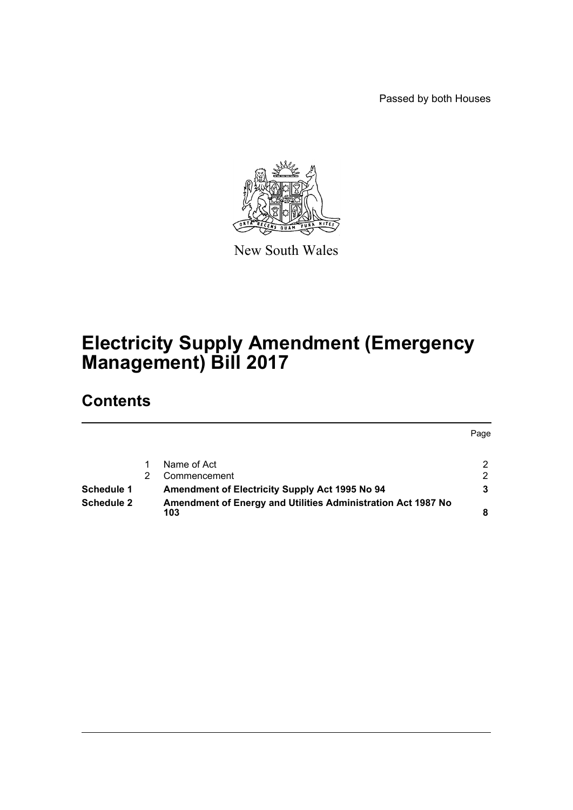Passed by both Houses



New South Wales

# **Electricity Supply Amendment (Emergency Management) Bill 2017**

# **Contents**

|                   |                                                              | Page |
|-------------------|--------------------------------------------------------------|------|
|                   |                                                              |      |
|                   | Name of Act                                                  |      |
|                   | Commencement                                                 | 2    |
| Schedule 1        | <b>Amendment of Electricity Supply Act 1995 No 94</b>        |      |
| <b>Schedule 2</b> | Amendment of Energy and Utilities Administration Act 1987 No |      |
|                   | 103                                                          |      |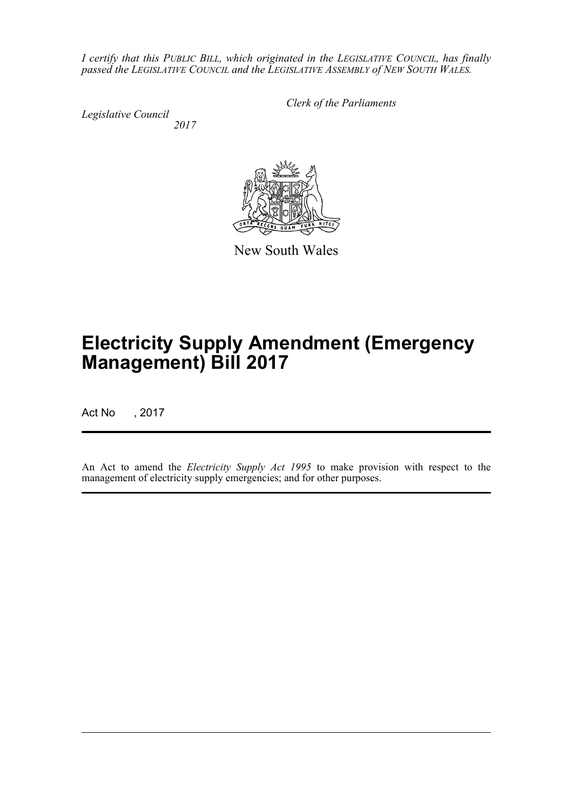*I certify that this PUBLIC BILL, which originated in the LEGISLATIVE COUNCIL, has finally passed the LEGISLATIVE COUNCIL and the LEGISLATIVE ASSEMBLY of NEW SOUTH WALES.*

*Legislative Council 2017* *Clerk of the Parliaments*



New South Wales

# **Electricity Supply Amendment (Emergency Management) Bill 2017**

Act No , 2017

An Act to amend the *Electricity Supply Act 1995* to make provision with respect to the management of electricity supply emergencies; and for other purposes.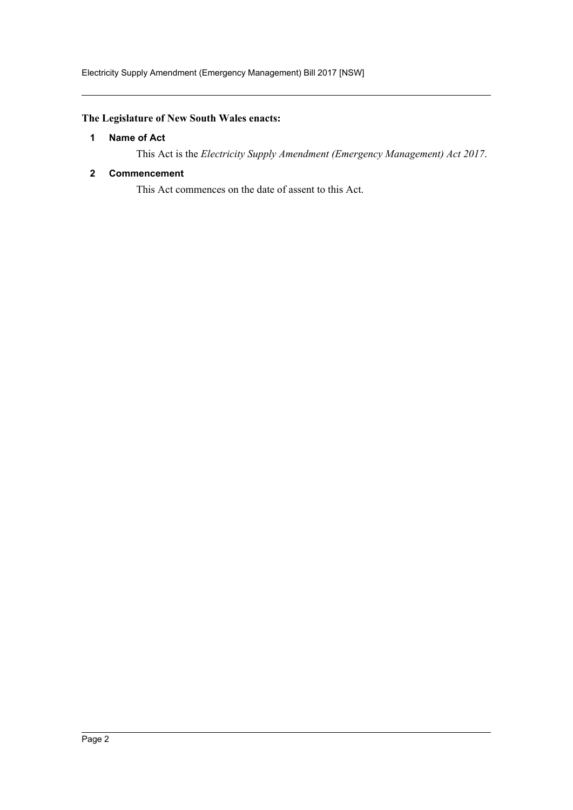## <span id="page-2-0"></span>**The Legislature of New South Wales enacts:**

## **1 Name of Act**

This Act is the *Electricity Supply Amendment (Emergency Management) Act 2017*.

### <span id="page-2-1"></span>**2 Commencement**

This Act commences on the date of assent to this Act.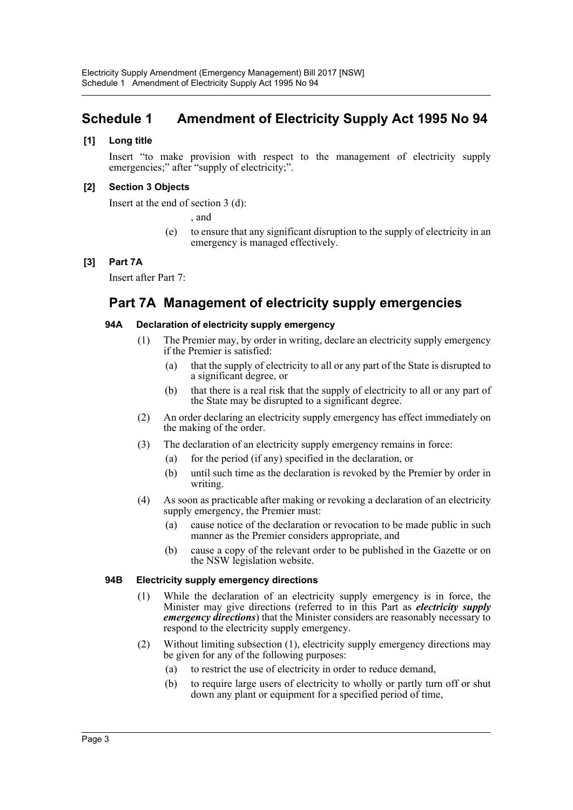## <span id="page-3-0"></span>**Schedule 1 Amendment of Electricity Supply Act 1995 No 94**

## **[1] Long title**

Insert "to make provision with respect to the management of electricity supply emergencies;" after "supply of electricity;".

## **[2] Section 3 Objects**

Insert at the end of section 3 (d):

, and

(e) to ensure that any significant disruption to the supply of electricity in an emergency is managed effectively.

## **[3] Part 7A**

Insert after Part 7:

## **Part 7A Management of electricity supply emergencies**

### **94A Declaration of electricity supply emergency**

- (1) The Premier may, by order in writing, declare an electricity supply emergency if the Premier is satisfied:
	- (a) that the supply of electricity to all or any part of the State is disrupted to a significant degree, or
	- (b) that there is a real risk that the supply of electricity to all or any part of the State may be disrupted to a significant degree.
- (2) An order declaring an electricity supply emergency has effect immediately on the making of the order.
- (3) The declaration of an electricity supply emergency remains in force:
	- (a) for the period (if any) specified in the declaration, or
	- (b) until such time as the declaration is revoked by the Premier by order in writing.
- (4) As soon as practicable after making or revoking a declaration of an electricity supply emergency, the Premier must:
	- (a) cause notice of the declaration or revocation to be made public in such manner as the Premier considers appropriate, and
	- (b) cause a copy of the relevant order to be published in the Gazette or on the NSW legislation website.

#### **94B Electricity supply emergency directions**

- (1) While the declaration of an electricity supply emergency is in force, the Minister may give directions (referred to in this Part as *electricity supply emergency directions*) that the Minister considers are reasonably necessary to respond to the electricity supply emergency.
- (2) Without limiting subsection (1), electricity supply emergency directions may be given for any of the following purposes:
	- (a) to restrict the use of electricity in order to reduce demand,
	- (b) to require large users of electricity to wholly or partly turn off or shut down any plant or equipment for a specified period of time,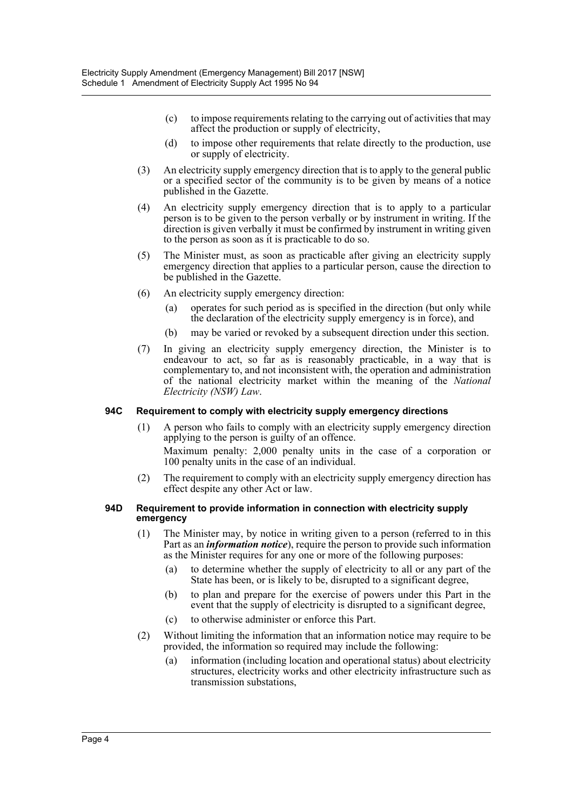- (c) to impose requirements relating to the carrying out of activities that may affect the production or supply of electricity,
- (d) to impose other requirements that relate directly to the production, use or supply of electricity.
- (3) An electricity supply emergency direction that is to apply to the general public or a specified sector of the community is to be given by means of a notice published in the Gazette.
- (4) An electricity supply emergency direction that is to apply to a particular person is to be given to the person verbally or by instrument in writing. If the direction is given verbally it must be confirmed by instrument in writing given to the person as soon as it is practicable to do so.
- (5) The Minister must, as soon as practicable after giving an electricity supply emergency direction that applies to a particular person, cause the direction to be published in the Gazette.
- (6) An electricity supply emergency direction:
	- (a) operates for such period as is specified in the direction (but only while the declaration of the electricity supply emergency is in force), and
	- (b) may be varied or revoked by a subsequent direction under this section.
- (7) In giving an electricity supply emergency direction, the Minister is to endeavour to act, so far as is reasonably practicable, in a way that is complementary to, and not inconsistent with, the operation and administration of the national electricity market within the meaning of the *National Electricity (NSW) Law*.

#### **94C Requirement to comply with electricity supply emergency directions**

(1) A person who fails to comply with an electricity supply emergency direction applying to the person is guilty of an offence.

Maximum penalty: 2,000 penalty units in the case of a corporation or 100 penalty units in the case of an individual.

(2) The requirement to comply with an electricity supply emergency direction has effect despite any other Act or law.

#### **94D Requirement to provide information in connection with electricity supply emergency**

- (1) The Minister may, by notice in writing given to a person (referred to in this Part as an *information notice*), require the person to provide such information as the Minister requires for any one or more of the following purposes:
	- (a) to determine whether the supply of electricity to all or any part of the State has been, or is likely to be, disrupted to a significant degree,
	- (b) to plan and prepare for the exercise of powers under this Part in the event that the supply of electricity is disrupted to a significant degree,
	- (c) to otherwise administer or enforce this Part.
- (2) Without limiting the information that an information notice may require to be provided, the information so required may include the following:
	- (a) information (including location and operational status) about electricity structures, electricity works and other electricity infrastructure such as transmission substations,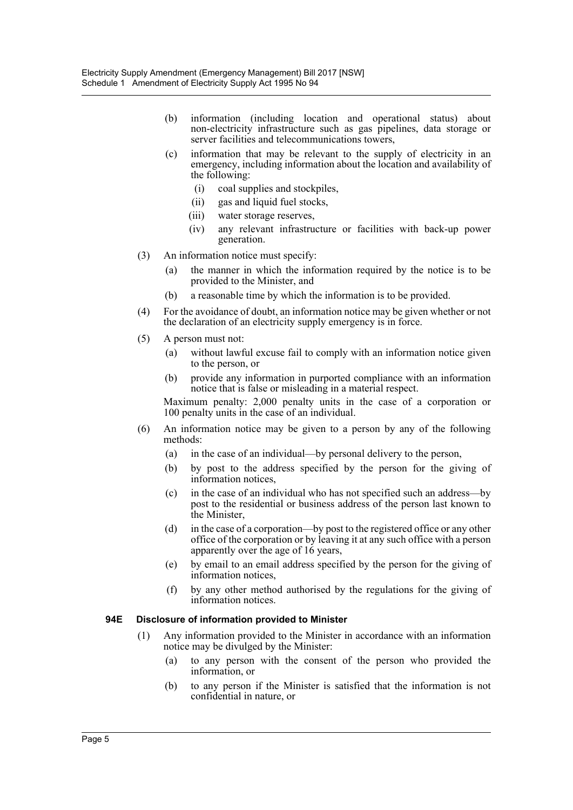- (b) information (including location and operational status) about non-electricity infrastructure such as gas pipelines, data storage or server facilities and telecommunications towers,
- (c) information that may be relevant to the supply of electricity in an emergency, including information about the location and availability of the following:
	- (i) coal supplies and stockpiles,
	- (ii) gas and liquid fuel stocks,
	- (iii) water storage reserves,
	- (iv) any relevant infrastructure or facilities with back-up power generation.
- (3) An information notice must specify:
	- (a) the manner in which the information required by the notice is to be provided to the Minister, and
	- (b) a reasonable time by which the information is to be provided.
- (4) For the avoidance of doubt, an information notice may be given whether or not the declaration of an electricity supply emergency is in force.
- (5) A person must not:
	- (a) without lawful excuse fail to comply with an information notice given to the person, or
	- (b) provide any information in purported compliance with an information notice that is false or misleading in a material respect.

Maximum penalty: 2,000 penalty units in the case of a corporation or 100 penalty units in the case of an individual.

- (6) An information notice may be given to a person by any of the following methods:
	- (a) in the case of an individual—by personal delivery to the person,
	- (b) by post to the address specified by the person for the giving of information notices,
	- (c) in the case of an individual who has not specified such an address—by post to the residential or business address of the person last known to the Minister,
	- (d) in the case of a corporation—by post to the registered office or any other office of the corporation or by leaving it at any such office with a person apparently over the age of 16 years,
	- (e) by email to an email address specified by the person for the giving of information notices,
	- (f) by any other method authorised by the regulations for the giving of information notices.

#### **94E Disclosure of information provided to Minister**

- (1) Any information provided to the Minister in accordance with an information notice may be divulged by the Minister:
	- (a) to any person with the consent of the person who provided the information, or
	- (b) to any person if the Minister is satisfied that the information is not confidential in nature, or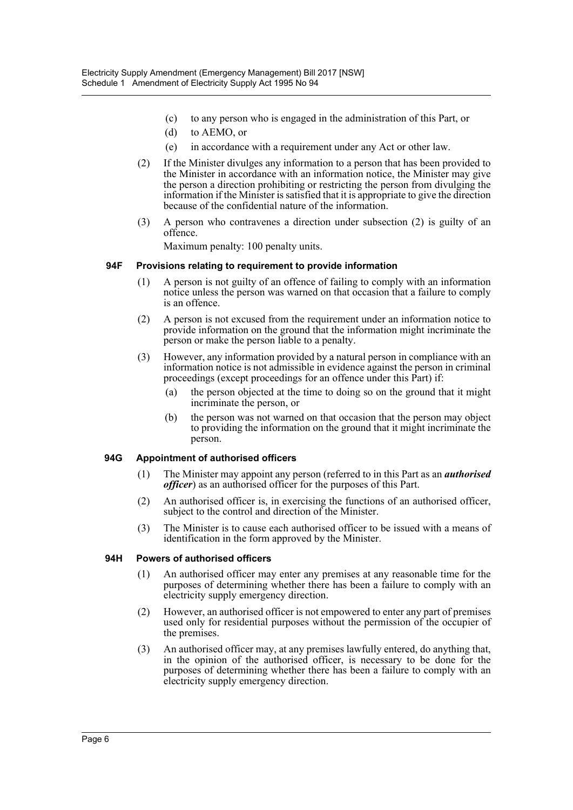- (c) to any person who is engaged in the administration of this Part, or
- (d) to AEMO, or
- (e) in accordance with a requirement under any Act or other law.
- (2) If the Minister divulges any information to a person that has been provided to the Minister in accordance with an information notice, the Minister may give the person a direction prohibiting or restricting the person from divulging the information if the Minister is satisfied that it is appropriate to give the direction because of the confidential nature of the information.
- (3) A person who contravenes a direction under subsection (2) is guilty of an offence.

Maximum penalty: 100 penalty units.

#### **94F Provisions relating to requirement to provide information**

- (1) A person is not guilty of an offence of failing to comply with an information notice unless the person was warned on that occasion that a failure to comply is an offence.
- (2) A person is not excused from the requirement under an information notice to provide information on the ground that the information might incriminate the person or make the person liable to a penalty.
- (3) However, any information provided by a natural person in compliance with an information notice is not admissible in evidence against the person in criminal proceedings (except proceedings for an offence under this Part) if:
	- (a) the person objected at the time to doing so on the ground that it might incriminate the person, or
	- (b) the person was not warned on that occasion that the person may object to providing the information on the ground that it might incriminate the person.

#### **94G Appointment of authorised officers**

- (1) The Minister may appoint any person (referred to in this Part as an *authorised officer*) as an authorised officer for the purposes of this Part.
- (2) An authorised officer is, in exercising the functions of an authorised officer, subject to the control and direction of the Minister.
- (3) The Minister is to cause each authorised officer to be issued with a means of identification in the form approved by the Minister.

#### **94H Powers of authorised officers**

- (1) An authorised officer may enter any premises at any reasonable time for the purposes of determining whether there has been a failure to comply with an electricity supply emergency direction.
- (2) However, an authorised officer is not empowered to enter any part of premises used only for residential purposes without the permission of the occupier of the premises.
- (3) An authorised officer may, at any premises lawfully entered, do anything that, in the opinion of the authorised officer, is necessary to be done for the purposes of determining whether there has been a failure to comply with an electricity supply emergency direction.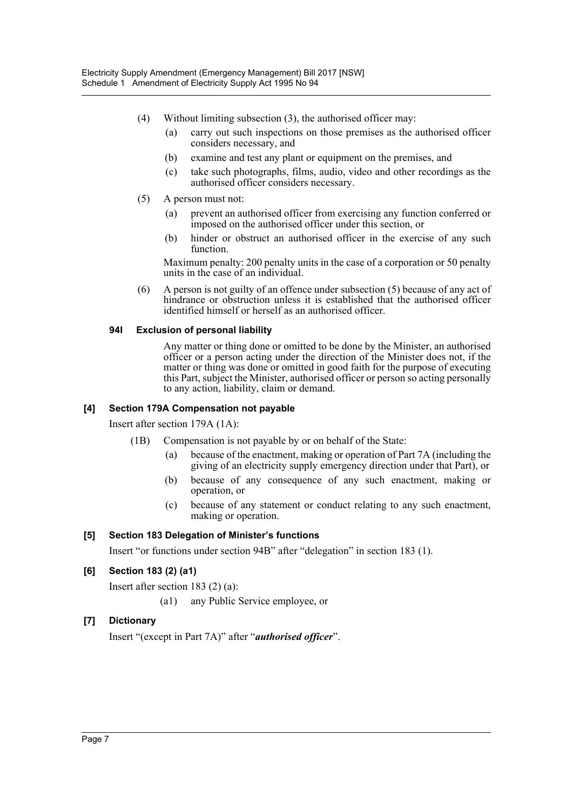- (4) Without limiting subsection (3), the authorised officer may:
	- (a) carry out such inspections on those premises as the authorised officer considers necessary, and
	- (b) examine and test any plant or equipment on the premises, and
	- (c) take such photographs, films, audio, video and other recordings as the authorised officer considers necessary.
- (5) A person must not:
	- (a) prevent an authorised officer from exercising any function conferred or imposed on the authorised officer under this section, or
	- (b) hinder or obstruct an authorised officer in the exercise of any such function.

Maximum penalty: 200 penalty units in the case of a corporation or 50 penalty units in the case of an individual.

(6) A person is not guilty of an offence under subsection (5) because of any act of hindrance or obstruction unless it is established that the authorised officer identified himself or herself as an authorised officer.

#### **94I Exclusion of personal liability**

Any matter or thing done or omitted to be done by the Minister, an authorised officer or a person acting under the direction of the Minister does not, if the matter or thing was done or omitted in good faith for the purpose of executing this Part, subject the Minister, authorised officer or person so acting personally to any action, liability, claim or demand.

## **[4] Section 179A Compensation not payable**

Insert after section 179A (1A):

- (1B) Compensation is not payable by or on behalf of the State:
	- (a) because of the enactment, making or operation of Part 7A (including the giving of an electricity supply emergency direction under that Part), or
	- (b) because of any consequence of any such enactment, making or operation, or
	- (c) because of any statement or conduct relating to any such enactment, making or operation.

## **[5] Section 183 Delegation of Minister's functions**

Insert "or functions under section 94B" after "delegation" in section 183 (1).

## **[6] Section 183 (2) (a1)**

Insert after section 183 (2) (a):

(a1) any Public Service employee, or

## **[7] Dictionary**

Insert "(except in Part 7A)" after "*authorised officer*".